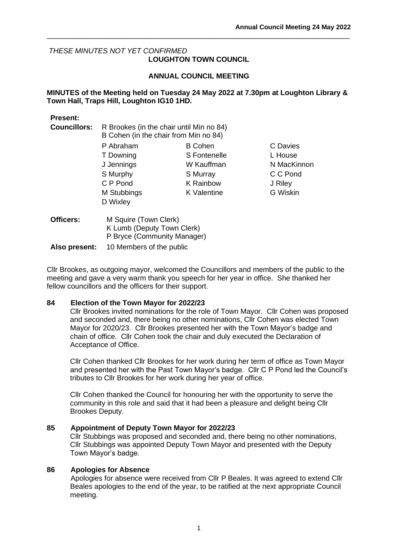C Davies L House N MacKinnon C C Pond J Riley G Wiskin

# *THESE MINUTES NOT YET CONFIRMED*  **LOUGHTON TOWN COUNCIL**

# **ANNUAL COUNCIL MEETING**

\_\_\_\_\_\_\_\_\_\_\_\_\_\_\_\_\_\_\_\_\_\_\_\_\_\_\_\_\_\_\_\_\_\_\_\_\_\_\_\_\_\_\_\_\_\_\_\_\_\_\_\_\_\_\_\_\_\_\_\_\_\_\_\_\_\_\_\_\_\_\_\_\_\_\_

## **MINUTES of the Meeting held on Tuesday 24 May 2022 at 7.30pm at Loughton Library & Town Hall, Traps Hill, Loughton IG10 1HD.**

## **Present:**

| <b>Councillors:</b> | R Brookes (in the chair until Min no 84)<br>B Cohen (in the chair from Min no 84) |                  |
|---------------------|-----------------------------------------------------------------------------------|------------------|
|                     | P Abraham                                                                         | <b>B</b> Cohen   |
|                     | T Downing                                                                         | S Fontenelle     |
|                     | J Jennings                                                                        | W Kauffman       |
|                     | S Murphy                                                                          | S Murray         |
|                     | C P Pond                                                                          | <b>K</b> Rainbow |
|                     | M Stubbings                                                                       | K Valentine      |
|                     | D Wixley                                                                          |                  |
| Officers:           | M Squire (Town Clerk)                                                             |                  |

| <b>nicers:</b> | M Squire (Town Clerk)       |
|----------------|-----------------------------|
|                | K Lumb (Deputy Town Clerk)  |
|                | P Bryce (Community Manager) |

**Also present:** 10 Members of the public

Cllr Brookes, as outgoing mayor, welcomed the Councillors and members of the public to the meeting and gave a very warm thank you speech for her year in office. She thanked her fellow councillors and the officers for their support.

## **84 Election of the Town Mayor for 2022/23**

Cllr Brookes invited nominations for the role of Town Mayor. Cllr Cohen was proposed and seconded and, there being no other nominations, Cllr Cohen was elected Town Mayor for 2020/23. Cllr Brookes presented her with the Town Mayor's badge and chain of office. Cllr Cohen took the chair and duly executed the Declaration of Acceptance of Office.

Cllr Cohen thanked Cllr Brookes for her work during her term of office as Town Mayor and presented her with the Past Town Mayor's badge. Cllr C P Pond led the Council's tributes to Cllr Brookes for her work during her year of office.

Cllr Cohen thanked the Council for honouring her with the opportunity to serve the community in this role and said that it had been a pleasure and delight being Cllr Brookes Deputy.

## **85 Appointment of Deputy Town Mayor for 2022/23**

Cllr Stubbings was proposed and seconded and, there being no other nominations, Cllr Stubbings was appointed Deputy Town Mayor and presented with the Deputy Town Mayor's badge.

## **86 Apologies for Absence**

Apologies for absence were received from Cllr P Beales. It was agreed to extend Cllr Beales apologies to the end of the year, to be ratified at the next appropriate Council meeting.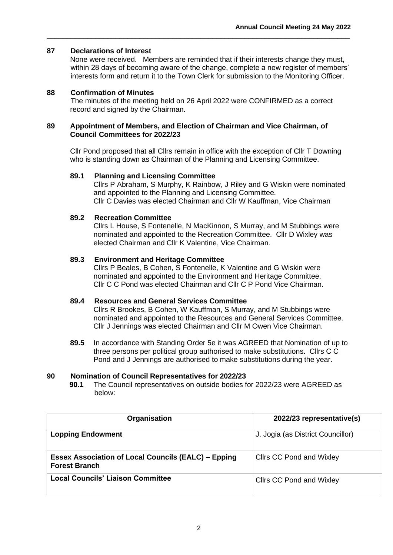# **87 Declarations of Interest**

None were received. Members are reminded that if their interests change they must, within 28 days of becoming aware of the change, complete a new register of members' interests form and return it to the Town Clerk for submission to the Monitoring Officer.

## **88 Confirmation of Minutes**

The minutes of the meeting held on 26 April 2022 were CONFIRMED as a correct record and signed by the Chairman.

\_\_\_\_\_\_\_\_\_\_\_\_\_\_\_\_\_\_\_\_\_\_\_\_\_\_\_\_\_\_\_\_\_\_\_\_\_\_\_\_\_\_\_\_\_\_\_\_\_\_\_\_\_\_\_\_\_\_\_\_\_\_\_\_\_\_\_\_\_\_\_\_\_\_\_

## **89 Appointment of Members, and Election of Chairman and Vice Chairman, of Council Committees for 2022/23**

Cllr Pond proposed that all Cllrs remain in office with the exception of Cllr T Downing who is standing down as Chairman of the Planning and Licensing Committee.

## **89.1 Planning and Licensing Committee**

Cllrs P Abraham, S Murphy, K Rainbow, J Riley and G Wiskin were nominated and appointed to the Planning and Licensing Committee. Cllr C Davies was elected Chairman and Cllr W Kauffman, Vice Chairman

## **89.2 Recreation Committee**

Cllrs L House, S Fontenelle, N MacKinnon, S Murray, and M Stubbings were nominated and appointed to the Recreation Committee. Cllr D Wixley was elected Chairman and Cllr K Valentine, Vice Chairman.

## **89.3 Environment and Heritage Committee**

Cllrs P Beales, B Cohen, S Fontenelle, K Valentine and G Wiskin were nominated and appointed to the Environment and Heritage Committee. Cllr C C Pond was elected Chairman and Cllr C P Pond Vice Chairman.

## **89.4 Resources and General Services Committee**

Cllrs R Brookes, B Cohen, W Kauffman, S Murray, and M Stubbings were nominated and appointed to the Resources and General Services Committee. Cllr J Jennings was elected Chairman and Cllr M Owen Vice Chairman.

**89.5** In accordance with Standing Order 5e it was AGREED that Nomination of up to three persons per political group authorised to make substitutions. Cllrs C C Pond and J Jennings are authorised to make substitutions during the year.

#### **90 Nomination of Council Representatives for 2022/23**

**90.1** The Council representatives on outside bodies for 2022/23 were AGREED as below:

| Organisation                                                                       | 2022/23 representative(s)         |
|------------------------------------------------------------------------------------|-----------------------------------|
| <b>Lopping Endowment</b>                                                           | J. Jogia (as District Councillor) |
| <b>Essex Association of Local Councils (EALC) – Epping</b><br><b>Forest Branch</b> | <b>Clirs CC Pond and Wixley</b>   |
| <b>Local Councils' Liaison Committee</b>                                           | <b>Clirs CC Pond and Wixley</b>   |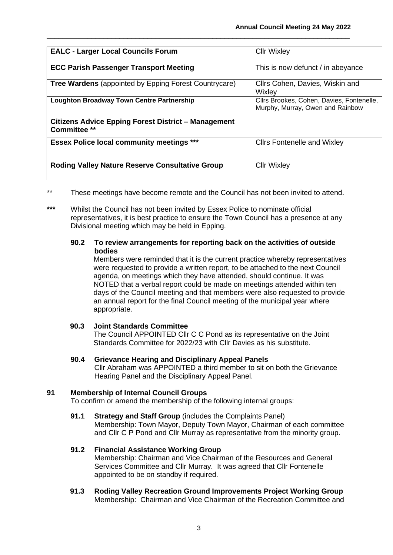| <b>EALC - Larger Local Councils Forum</b>                                         | <b>Cllr Wixley</b>                                                            |
|-----------------------------------------------------------------------------------|-------------------------------------------------------------------------------|
| <b>ECC Parish Passenger Transport Meeting</b>                                     | This is now defunct / in abeyance                                             |
| <b>Tree Wardens</b> (appointed by Epping Forest Countrycare)                      | Cllrs Cohen, Davies, Wiskin and<br>Wixley                                     |
| <b>Loughton Broadway Town Centre Partnership</b>                                  | Cllrs Brookes, Cohen, Davies, Fontenelle,<br>Murphy, Murray, Owen and Rainbow |
| <b>Citizens Advice Epping Forest District - Management</b><br><b>Committee **</b> |                                                                               |
| <b>Essex Police local community meetings ***</b>                                  | <b>Clirs Fontenelle and Wixley</b>                                            |
| <b>Roding Valley Nature Reserve Consultative Group</b>                            | <b>Cllr Wixley</b>                                                            |

\_\_\_\_\_\_\_\_\_\_\_\_\_\_\_\_\_\_\_\_\_\_\_\_\_\_\_\_\_\_\_\_\_\_\_\_\_\_\_\_\_\_\_\_\_\_\_\_\_\_\_\_\_\_\_\_\_\_\_\_\_\_\_\_\_\_\_\_\_\_\_\_\_\_\_

- \*\* These meetings have become remote and the Council has not been invited to attend.
- **\*\*\*** Whilst the Council has not been invited by Essex Police to nominate official representatives, it is best practice to ensure the Town Council has a presence at any Divisional meeting which may be held in Epping.

# **90.2 To review arrangements for reporting back on the activities of outside bodies**

Members were reminded that it is the current practice whereby representatives were requested to provide a written report, to be attached to the next Council agenda, on meetings which they have attended, should continue. It was NOTED that a verbal report could be made on meetings attended within ten days of the Council meeting and that members were also requested to provide an annual report for the final Council meeting of the municipal year where appropriate.

## **90.3 Joint Standards Committee**

The Council APPOINTED Cllr C C Pond as its representative on the Joint Standards Committee for 2022/23 with Cllr Davies as his substitute.

# **90.4 Grievance Hearing and Disciplinary Appeal Panels**

Cllr Abraham was APPOINTED a third member to sit on both the Grievance Hearing Panel and the Disciplinary Appeal Panel.

## **91 Membership of Internal Council Groups**

To confirm or amend the membership of the following internal groups:

**91.1 Strategy and Staff Group** (includes the Complaints Panel) Membership: Town Mayor, Deputy Town Mayor, Chairman of each committee and Cllr C P Pond and Cllr Murray as representative from the minority group.

# **91.2 Financial Assistance Working Group**

Membership: Chairman and Vice Chairman of the Resources and General Services Committee and Cllr Murray. It was agreed that Cllr Fontenelle appointed to be on standby if required.

**91.3 Roding Valley Recreation Ground Improvements Project Working Group** Membership: Chairman and Vice Chairman of the Recreation Committee and